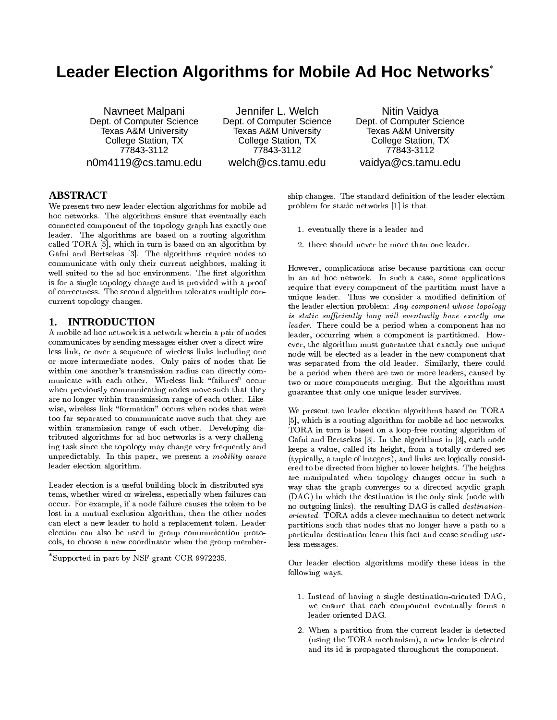# **Leader Election Algorithms for Mobile Ad Hoc Networks**

Navneet Malpani Dept. of Computer Science Texas A&M University College Station, TX 77843-3112 n0m4119@cs.tamu.edu

Jennifer L. Welch Dept. of Computer Science Texas A&M University College Station, TX 77843-3112 welch@cs.tamu.edu

Nitin Vaidya Dept. of Computer Science Texas A&M University College Station, TX 77843-3112 vaidya@cs.tamu.edu

## **ABSTRACT**

We present two new leader election algorithms for mobile ad hoc networks. The algorithms ensure that eventually each connected component of the topology graph has exactly one leader. The algorithms are based on a routing algorithm called TORA [5], which in turn is based on an algorithm by Gafni and Bertsekas [3]. The algorithms require nodes to communicate with only their current neighbors, making it well suited to the ad hoc environment. The first algorithm is for a single topology change and is provided with a proof of correctness. The second algorithm tolerates multiple con current topology changes.

### **1. INTRODUCTION**

A mobile ad hoc network is a network wherein a pair of nodes communicates by sending messages either over a direct wireless link, or over a sequence of wireless links including one or more intermediate nodes. Only pairs of nodes that lie within one another's transmission radius can directly com municate with each other. Wireless link \failures" occur when previously communicating nodes move such that they are no longer within transmission range of each other. Like wise, wireless link "formation" occurs when nodes that were too far separated to communicate move such that they are within transmission range of each other. Developing distributed algorithms for ad hoc networks is a very challenging task since the topology may change very frequently and unpredictably. In this paper, we present a mobility aware leader election algorithm.

Leader election is a useful building block in distributed systems, whether wired or wireless, especially when failures can occur. For example, if a node failure causes the token to be lost in a mutual exclusion algorithm, then the other nodes can elect a new leader to hold a replacement token. Leader election can also be used in group communication protocols, to choose a new coordinator when the group member-

Supported in part by NSF grant CCR-9972235.

ship changes. The standard definition of the leader election problem for static networks [1] is that

- 1. eventually there is a leader and
- 2. there should never be more than one leader.

However, complications arise because partitions can occur in an ad hoc network. In such a case, some applications require that every component of the partition must have a unique leader. Thus we consider a modified definition of the leader election problem: Any component whose topology  $is\ static\ sufficiently\ long\ will\ eventually\ have\ exactly\ one$ leader. There could be a period when a component has no leader, occurring when a component is partitioned. How ever, the algorithm must guarantee that exactly one unique node will be elected as a leader in the new component that was separated from the old leader. Similarly, there could be a period when there are two or more leaders, caused by two or more components merging. But the algorithm must guarantee that only one unique leader survives.

We present two leader election algorithms based on TORA [5], which is a routing algorithm for mobile ad hoc networks. TORA in turn is based on a loop-free routing algorithm of Gafni and Bertsekas [3]. In the algorithms in [3], each node keeps a value, called its height, from a totally ordered set (typically, a tuple of integers), and links are logically considered to be directed from higher to lower heights. The heights are manipulated when topology changes occur in such a way that the graph converges to a directed acyclic graph (DAG) in which the destination is the only sink (node with no outgoing links). the resulting DAG is called destinationoriented. TORA adds a clever mechanism to detect network partitions such that nodes that no longer have a path to a particular destination learn this fact and cease sending useless messages.

Our leader election algorithms modify these ideas in the following ways.

- 1. Instead of having a single destination-oriented DAG, we ensure that each component eventually forms a leader-oriented DAG.
- 2. When a partition from the current leader is detected (using the TORA mechanism), a new leader is elected and its id is propagated throughout the component.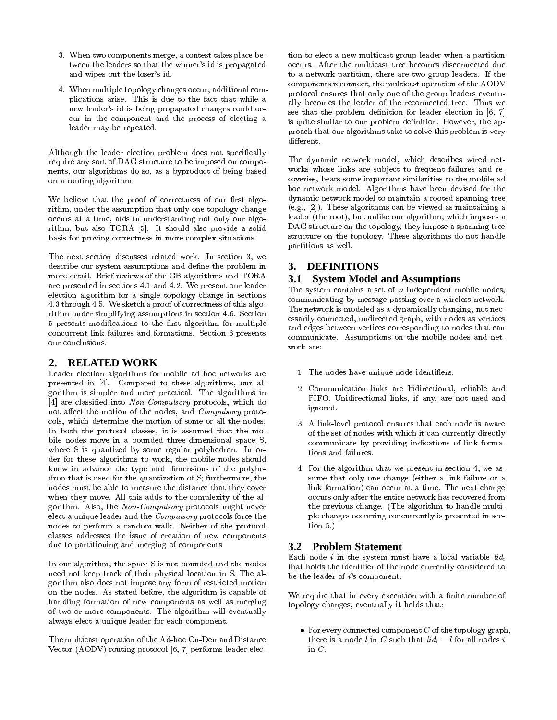- 3. When two components merge, a contest takes place between the leaders so that the winner's id is propagated and wipes out the loser's id.
- 4. When multiple topology changes occur, additional complications arise. This is due to the fact that while a new leader's id is being propagated changes could oc cur in the component and the process of electing a leader may be repeated.

Although the leader election problem does not specifically require any sort of DAG structure to be imposed on compo- The dynamic network model, which describes wired net-<br>nents, our algorithms do so, as a byproduct of being based works whose links are subject to frequent failures nents, our algorithms do so, as a byproduct of being based on a routing algorithm.

We believe that the proof of correctness of our first algorithm, under the assumption that only one topology change occurs at a time, aids in understanding not only our algorithm, but also TORA [5]. It should also provide a solid basis for proving correctness in more complex situations.

The next section discusses related work. In section 3, we describe our system assumptions and define the problem in more detail. Brief reviews of the GB algorithms and TORA are presented in sections 4.1 and 4.2. We present our leader election algorithm for a single topology change in sections 4.3 through 4.5. We sketch a proof of correctness of this algorithm under simplifying assumptions in section 4.6. Section 5 presents modifications to the first algorithm for multiple concurrent link failures and formations. Section 6 presents our conclusions.

# **2. RELATED WORK**

Leader election algorithms for mobile ad hoc networks are presented in [4]. Compared to these algorithms, our algorithm is simpler and more practical. The algorithms in [4] are classified into Non-Compulsory protocols, which do not affect the motion of the nodes, and *Compulsory* protocols, which determine the motion of some or all the nodes. In both the protocol classes, it is assumed that the mo bile nodes move in a bounded three-dimensional space S, where S is quantized by some regular polyhedron. In or der for these algorithms to work, the mobile nodes should know in advance the type and dimensions of the polyhedron that is used for the quantization of S; furthermore, the nodes must be able to measure the distance that they cover when they move. All this adds to the complexity of the algorithm. Also, the Non-Compulsory protocols might never elect a unique leader and the Compulsory protocols force the nodes to perform a random walk. Neither of the protocol classes addresses the issue of creation of new components due to partitioning and merging of components

In our algorithm, the space S is not bounded and the nodes need not keep track of their physical location in S. The algorithm also does not impose any form of restricted motion on the nodes. As stated before, the algorithm is capable of handling formation of new components as well as merging of two or more components. The algorithm will eventually always elect a unique leader for each component.

The multicast operation of the Ad-hoc On-Demand Distance Vector (AODV) routing protocol [6, 7] performs leader election to elect a new multicast group leader when a partition occurs. After the multicast tree becomes disconnected due to a network partition, there are two group leaders. If the components reconnect, the multicast operation of the AODV protocol ensures that only one of the group leaders eventually becomes the leader of the reconnected tree. Thus we see that the problem definition for leader election in  $[6, 7]$ is quite similar to our problem definition. However, the approach that our algorithms take to solve this problem is very different.

The dynamic network model, which describes wired net coveries, bears some important similarities to the mobile ad hoc network model. Algorithms have been devised for the dynamic network model to maintain a rooted spanning tree (e.g., [2]). These algorithms can be viewed as maintaining a leader (the root), but unlike our algorithm, which imposes a DAG structure on the topology, they impose a spanning tree structure on the topology. These algorithms do not handle partitions as well.

# **3. DEFINITIONS**

# **3.1 System Model and Assumptions**

The system contains a set of  $n$  independent mobile nodes, communicating by message passing over a wireless network. The network is modeled as a dynamically changing, not necessarily connected, undirected graph, with nodes as vertices and edges between vertices corresponding to nodes that can communicate. Assumptions on the mobile nodes and net work are:

- 1. The nodes have unique node identifiers.
- 2. Communication links are bidirectional, reliable and FIFO. Unidirectional links, if any, are not used and ignored.
- 3. A link-level protocol ensures that each node is aware of the set of nodes with which it can currently directly communicate by providing indications of link formations and failures.
- 4. For the algorithm that we present in section 4, we as sume that only one change (either a link failure or a link formation) can occur at a time. The next change occurs only after the entire network has recovered from the previous change. (The algorithm to handle multiple changes occurring concurrently is presented in section 5.)

# **3.2 Problem Statement**

Each node i in the system must have a local variable  $lid_i$ that holds the identifier of the node currently considered to be the leader of i's component.

We require that in every execution with a finite number of topology changes, eventually it holds that:

• For every connected component  $C$  of the topology graph, there is a node l in C such that  $lid_i = l$  for all nodes i in  $C$ .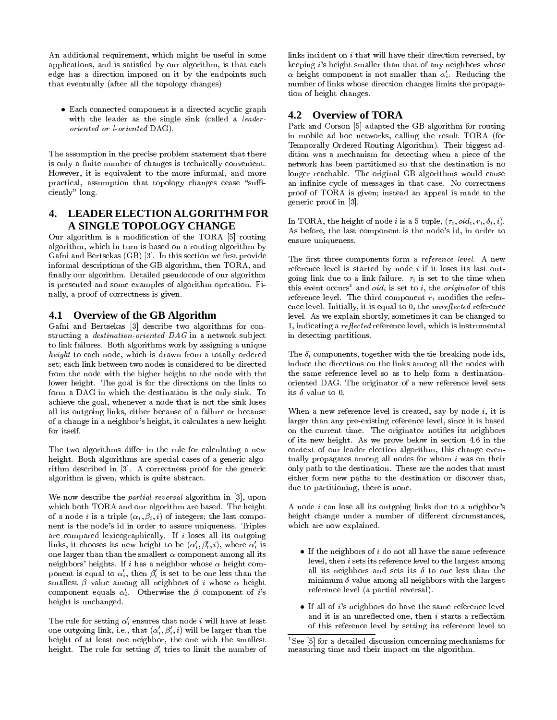An additional requirement, which might be useful in some applications, and is satisfied by our algorithm, is that each edge has a direction imposed on it by the endpoints such that eventually (after all the topology changes)

 Each connected component is a directed acyclic graph with the leader as the single sink (called a leaderoriented or l-oriented DAG).

The assumption in the precise problem statement that there is only a finite number of changes is technically convenient. However, it is equivalent to the more informal, and more practical, assumption that topology changes cease "sufficiently" long.

# **4. LEADER ELECTION ALGORITHM FOR A SINGLE TOPOLOGY CHANGE**

Our algorithm is a modication of the TORA [5] routing algorithm, which in turn is based on a routing algorithm by Gafni and Bertsekas  $(GB)$  [3]. In this section we first provide informal descriptions of the GB algorithm, then TORA, and finally our algorithm. Detailed pseudocode of our algorithm is presented and some examples of algorithm operation. Finally, a proof of correctness is given.

### **4.1 Overview of the GB Algorithm**

Gafni and Bertsekas [3] describe two algorithms for con structing a *destination-oriented*  $DAG$  in a network subject to link failures. Both algorithms work by assigning a unique height to each node, which is drawn from a totally ordered set; each link between two nodes is considered to be directed from the node with the higher height to the node with the lower height. The goal is for the directions on the links to form a DAG in which the destination is the only sink. To achieve the goal, whenever a node that is not the sink loses all its outgoing links, either because of a failure or because of a change in a neighbor's height, it calculates a new height for itself.

The two algorithms differ in the rule for calculating a new height. Both algorithms are special cases of a generic algorithm described in [3]. A correctness proof for the generic algorithm is given, which is quite abstract.

We now describe the *partial reversal* algorithm in [3], upon which both TORA and our algorithm are based. The height of a node *i* is a triple  $(\alpha_i, \beta_i, i)$  of integers; the last component is the node's id in order to assure uniqueness. Triples are compared lexicographically. If  $i$  loses all its outgoing links, it chooses its new height to be  $(\alpha_i', \beta_i', i)$ , where  $\alpha_i'$  is one larger than than the smallest  $\alpha$  component among all its neighbors' heights. If i has a neighbor whose  $\alpha$  height component is equal to  $\alpha'_i$ , then  $\beta'_i$  is set to be one less than the smallest  $\beta$  value among all neighbors of *i* whose  $\alpha$  height component equals  $\alpha'_i$ . Otherwise the  $\beta$  component of i's height is unchanged.

The rule for setting  $\alpha_i'$  ensures that node *i* will have at least one outgoing link, i.e., that  $(\alpha'_i, \beta'_i, i)$  will be larger than the height of at least one neighbor, the one with the smallest height. The rule for setting  $\beta_i'$  tries to limit the number of links incident on i that will have their direction reversed, by keeping i's height smaller than that of any neighbors whose  $\alpha$  height component is not smaller than  $\alpha'$ . Reducing the number of links whose direction changes limits the propagation of height changes.

### **4.2 Overview of TORA**

Park and Corson [5] adapted the GB algorithm for routing in mobile ad hoc networks, calling the result TORA (for Temporally Ordered Routing Algorithm). Their biggest addition was a mechanism for detecting when a piece of the network has been partitioned so that the destination is no longer reachable. The original GB algorithms would cause an infinite cycle of messages in that case. No correctness proof of TORA is given; instead an appeal is made to the generic proof in [3].

In TORA, the height of node i is a 5-tuple,  $(\tau_i, \text{oid}_i, r_i, \delta_i, i)$ . As before, the last component is the node's id, in order to ensure uniqueness.

The first three components form a reference level. A new reference level is started by node  $i$  if it loses its last outgoing link due to a link failure.  $\tau_i$  is set to the time when this event occurs<sup>1</sup> and *oid<sub>i</sub>* is set to *i*, the *originator* of this reference level. The third component  $r_i$  modifies the reference level. Initially, it is equal to  $0$ , the *unreflected* reference level. As we explain shortly, sometimes it can be changed to 1, indicating a *reflected* reference level, which is instrumental in detecting partitions.

The  $\delta_i$  components, together with the tie-breaking node ids, induce the directions on the links among all the nodes with the same reference level so as to help form a destinationoriented DAG. The originator of a new reference level sets its  $\delta$  value to 0.

When a new reference level is created, say by node  $i$ , it is larger than any pre-existing reference level, since it is based on the current time. The originator notifies its neighbors of its new height. As we prove below in section 4.6 in the context of our leader election algorithm, this change even tually propagates among all nodes for whom  $i$  was on their only path to the destination. These are the nodes that must either form new paths to the destination or discover that, due to partitioning, there is none.

A node ican lose all its outgoing links due to a neighbor's height change under a number of different circumstances, which are now explained.

- $\bullet$  If the neighbors of i do not all have the same reference level, then i sets its reference level to the largest among all its neighbors and sets its  $\delta$  to one less than the minimum  $\delta$  value among all neighbors with the largest reference level (a partial reversal).
- $\bullet$  If all of i's neighbors do have the same reference level and it is an unreflected one, then  $i$  starts a reflection of this reference level by setting its reference level to

<sup>&</sup>lt;sup>1</sup>See [5] for a detailed discussion concerning mechanisms for measuring time and their impact on the algorithm.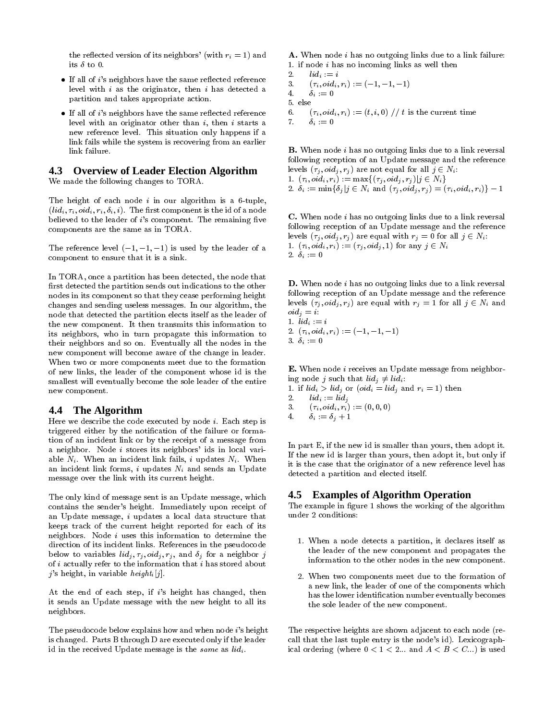the reflected version of its neighbors' (with  $r_i = 1$ ) and its  $\delta$  to 0.

- If all of i's neighbors have the same reflected reference  $\frac{2}{3}$ . level with i as the originator, then i has detected a  $\frac{3!}{4!}$ partition and takes appropriate action.
- If all of *i*'s neighbors have the same reflected reference  $\overline{6}$ .<br>level with an originator other than *i*, then *i* starts a  $\overline{7}$ . level with an originator other than  $i$ , then  $i$  starts a new reference level. This situation only happens if a link fails while the system is recovering from an earlier link failure.

# **4.3 Overview of Leader Election Algorithm**

We made the following changes to TORA.

The height of each node  $i$  in our algorithm is a 6-tuple,  $(iid_i, \tau_i, oid_i, r_i, \delta_i, i)$ . The first component is the id of a node believed to the leader of  $i$ 's component. The remaining five components are the same as in TORA.

The reference level  $(-1, -1, -1)$  is used by the leader of a component to ensure that it is a sink.

In TORA, once a partition has been detected, the node that first detected the partition sends out indications to the other nodes in its component so that they cease performing height changes and sending useless messages. In our algorithm, the node that detected the partition elects itself as the leader of the new component. It then transmits this information to its neighbors, who in turn propagate this information to their neighbors and so on. Eventually all the nodes in the new component will become aware of the change in leader. When two or more components meet due to the formation of new links, the leader of the component whose id is the smallest will eventually become the sole leader of the entire new component.

#### **4.4 The Algorithm**

Here we describe the code executed by node  $i$ . Each step is triggered either by the notification of the failure or formation of an incident link or by the receipt of a message from a neighbor. Node  $i$  stores its neighbors' ids in local variable  $N_i$ . When an incident link fails, i updates  $N_i$ . When an incident link forms,  $i$  updates  $N_i$  and sends an Update message over the link with its current height.

The only kind of message sent is an Update message, which contains the sender's height. Immediately upon receipt of an Update message, i updates a local data structure that keeps track of the current height reported for each of its neighbors. Node  $i$  uses this information to determine the direction of its incident links. References in the pseudocode below to variables  $lid_j, \tau_j, oid_j, r_j,$  and  $\delta_j$  for a neighbor j of  $i$  actually refer to the information that  $i$  has stored about j's height, in variable height<sub>i</sub>[j].

At the end of each step, if  $i$ 's height has changed, then it sends an Update message with the new height to all its neighbors.

The pseudocode below explains how and when node i's height is changed. Parts B through D are executed only if the leader id in the received Update message is the same as  $lid_i$ .

A. When node i has no outgoing links due to a link failure: 1. if node i has no incoming links as well then

 $\operatorname{lid}_i := i$  $(\tau_i, \text{oid}_i, r_i) := (-1, -1, -1)$  $\delta_i \,:=\, 0$ 5. else  $(\tau_i, \text{oid}_i, r_i) := (t, i, 0)$  // t is the current time

 $7.$  i  $9.$  i  $1.$  i  $1.$  i  $1.$  i  $1.$  i  $1.$  i  $1.$  i  $1.$  i  $1.$  i  $1.$  i  $1.$  i  $1.$  i  $1.$  i  $1.$  i  $1.$  i  $1.$  i  $1.$  i  $1.$  i  $1.$  i  $1.$  i  $1.$  i  $1.$  i  $1.$  i  $1.$  i  $1.$  i  $1.$  i  $1.$  i  $1.$  i  $1.$  i  $1.$  i  $1.$ 

B. When node i has no outgoing links due to a link reversal following reception of an Update message and the reference levels (ii), rightly are not equal for all  $j \geq 0$  is  $i$ 1.  $(\tau_i, \text{oid}_i, r_i) := \max\{(\tau_j, \text{oid}_j, r_j) | j \in N_i\}$ <br>2.  $\delta_i := \min\{\delta_j | j \in N_i \text{ and } (\tau_j, \text{oid}_j, r_j) = (\tau_i, \text{oid}_i, r_i)\} - 1$ 

2.  $\sum_{i=1}^{n}$  in and (i),  $\sum_{i=1}^{n}$  is  $\sum_{i=1}^{n}$  (ii),  $\sum_{i=1}^{n}$  (ii),  $\sum_{i=1}^{n}$  (ii),  $\sum_{i=1}^{n}$  (iii),  $\sum_{i=1}^{n}$  (iii),  $\sum_{i=1}^{n}$  (iii),  $\sum_{i=1}^{n}$  (iii),  $\sum_{i=1}^{n}$  (iii),  $\sum_{i=1}^{n}$  (iii), following reception of an Update message and the reference levels (j)  $\frac{1}{2}$  ,  $\frac{1}{2}$  are equal with right right right right right right right right right right right right right right right right right right right right right right right right right right right right right  $\langle i \rangle$  ,  $\langle j \rangle$  ,  $\langle j \rangle$  ,  $\langle j \rangle$  ,  $\langle j \rangle$  ,  $\langle j \rangle$  and  $\langle j \rangle$  is any internal internal internal internal internal internal internal internal internal internal internal internal internal internal internal internal 2.  $\delta_i := 0$ 

**. When node** *i* **has no outgoing links due to a link reversal** following reception of an Update message and the reference levels (i), right in the equal with right right right right right right right.  $oid_i = i$ :

1.  $lid_i := i$ 2.  $(\tau_i, \text{oid}_i, r_i) := (-1, -1, -1)$ 3.  $\delta_i := 0$ 

 $E.$  When node *i* receives an Update message from neighboring node j such that  $lid_i \neq lid_i$ :

- 1. if  $lid_i > lid_j$  or  $(oid_i = lid_j$  and  $r_i = 1)$  then
- 2. lidi := lidj
- 3. (1 ; 0) := (0; 0) := (0; 0) := (0; 0) := (0; 0) := (0; 0) := (0; 0) := (0; 0) := (0; 0) := (0; 0) := (0; 0) := (0; 0) := (0; 0) := (0; 0) := (0; 0) := (0; 0) := (0; 0) := (0; 0) := (0; 0) := (0; 0) := (0; 0) := (0; 0) :=
- $\delta_i := \delta_j + 1$  $\overline{4}$ .

In part E, if the new id is smaller than yours, then adopt it. If the new id is larger than yours, then adopt it, but only if it is the case that the originator of a new reference level has detected a partition and elected itself.

### **4.5 Examples of Algorithm Operation**

The example in figure 1 shows the working of the algorithm under 2 conditions:

- 1. When a node detects a partition, it declares itself as the leader of the new component and propagates the information to the other nodes in the new component.
- 2. When two components meet due to the formation of a new link, the leader of one of the components which has the lower identication number eventually becomes the sole leader of the new component.

The respective heights are shown adjacent to each node (recall that the last tuple entry is the node's id). Lexicographical ordering (where  $0 < 1 < 2...$  and  $A < B < C...$ ) is used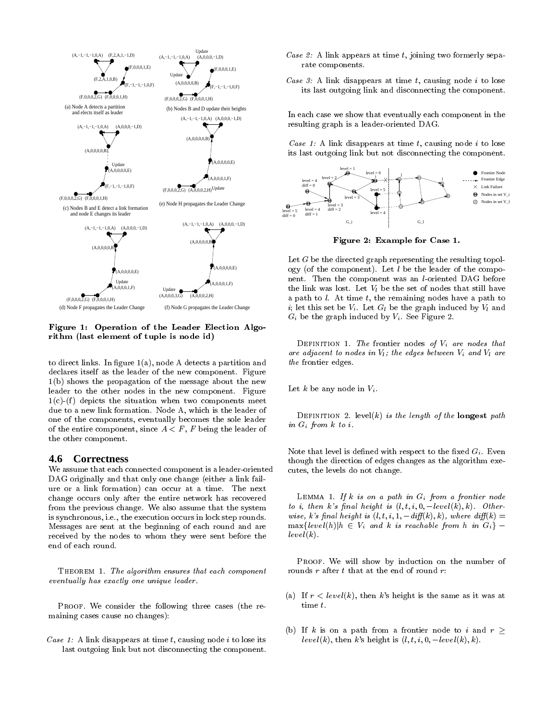

Figure 1: Operation of the Leader Election Algorithm (last element of tuple is node id)

to direct links. In figure  $1(a)$ , node A detects a partition and declares itself as the leader of the new component. Figure 1(b) shows the propagation of the message about the new leader to the other nodes in the new component. Figure  $1(c)$ -(f) depicts the situation when two components meet due to a new link formation. Node A, which is the leader of one of the components, eventually becomes the sole leader of the entire component, since  $A < F$ , F being the leader of the other component.

### **4.6 Correctness**

We assume that each connected component is a leader-oriented DAG originally and that only one change (either a link fail ure or a link formation) can occur at a time. The next change occurs only after the entire network has recovered from the previous change. We also assume that the system is synchronous, i.e., the execution occurs in lock step rounds. Messages are sent at the beginning of each round and are  $\max\{level(h)| h \in V_i \text{ and } k \text{ is reachable from } h \text{ in } G_i\}$ received by the nodes to whom they were sent before the end of each round.

THEOREM 1. The algorithm ensures that each component eventually has exactly one unique leader.

PROOF. We consider the following three cases (the remaining cases cause no changes):

Case 1: A link disappears at time t, causing node i to lose its last outgoing link but not disconnecting the component.

- Case 2: A link appears at time  $t$ , joining two formerly separate components.
- Case 3: A link disappears at time  $t$ , causing node  $i$  to lose its last outgoing link and disconnecting the component.

In each case we show that eventually each component in the resulting graph is a leader-oriented DAG.

Case 1: A link disappears at time  $t$ , causing node  $i$  to lose its last outgoing link but not disconnecting the component.



Figure 2: Example for Case 1.

Let  $G$  be the directed graph representing the resulting topology (of the component). Let  $l$  be the leader of the component. Then the component was an l-oriented DAG before the link was lost. Let  $V_l$  be the set of nodes that still have a path to  $l$ . At time  $t$ , the remaining nodes have a path to i; let this set be  $V_i$ . Let  $G_l$  be the graph induced by  $V_l$  and  $G_i$  be the graph induced by  $V_i$ . See Figure 2.

DEFINITION 1. The frontier nodes of  $V_i$  are nodes that are adjacent to nodes in  $V_l$ ; the edges between  $V_i$  and  $V_l$  are the frontier edges.

Let k be any node in  $V_i$ .

DEFINITION 2. level(k) is the length of the longest path in  $G_i$  from  $k$  to  $i$ .

Note that level is defined with respect to the fixed  $G_i$ . Even though the direction of edges changes as the algorithm executes, the levels do not change.

LEMMA 1. If k is on a path in  $G_i$  from a frontier node to *i*, then k's final height is  $(l, t, i, 0, -level(k), k)$ . Otherwise, k's final height is  $(l, t, i, 1, -diff(k), k)$ , where  $diff(k) =$  $\lim_{k \to \infty} \{f(x, y), y\}$  2 Vi and k is reachable from h in  $G_i$  $level(k)$ .

PROOF. We will show by induction on the number of rounds  $r$  after  $t$  that at the end of round  $r$ :

- (a) If  $r$  < level(k), then k's height is the same as it was at time t.
- (b) If k is on a path from a frontier node to i and  $r \geq$ — *портивать* по сери level(k), then k's height is  $(l, t, i, 0, -level(k), k)$ .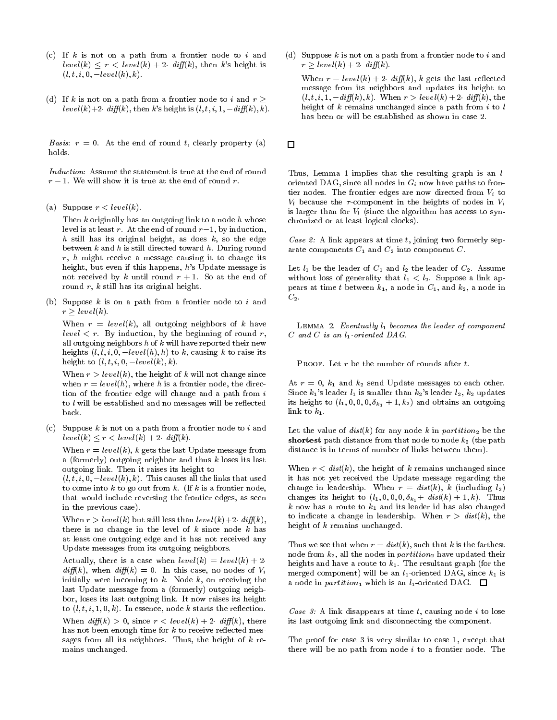- (c) If  $k$  is not on a path from a frontier node to  $i$  and  $level(k) \leq r < level(k) + 2$  diff(k), then k's height is  $(l, t, i, 0, -level(k), k).$
- (d) If k is not on a path from a frontier node to i and  $r \geq$ level(k)+2 diff(k), then k's height is  $(l, t, i, 1, -diff(k), k)$ .

Basis:  $r = 0$ . At the end of round t, clearly property (a)  $\Box$ holds.

Induction: Assume the statement is true at the end of round

(a) Suppose  $r < level(k)$ .

Then  $k$  originally has an outgoing link to a node  $h$  whose level is at least r. At the end of round  $r-1$ , by induction,  $h$  still has its original height, as does  $k$ , so the edge between  $k$  and  $h$  is still directed toward  $h$ . During round  $r, h$  might receive a message causing it to change its height, but even if this happens, h's Update message is not received by k until round  $r + 1$ . So at the end of round  $r$ ,  $k$  still has its original height.

(b) Suppose  $k$  is on a path from a frontier node to  $i$  and r level in the second control of the second control of the second control of the second control of the second o

When  $r = level(k)$ , all outgoing neighbors of k have  $level < r$ . By induction, by the beginning of round r, all outgoing neighbors  $h$  of  $k$  will have reported their new here  $\alpha$  is the contract (iii); if its causing its form  $\alpha$  to  $\alpha$ height to  $(l, t, i, 0, -level(k), k)$ .

When  $r > level(k)$ , the height of k will not change since when  $r = level(h)$ , where h is a frontier node, the direction of the frontier edge will change and a path from  $i$ to  $l$  will be established and no messages will be reflected hack.

(c) Suppose  $k$  is not on a path from a frontier node to  $i$  and level(k)  $r = 1$  divergently the angle  $\mathcal{N}(x)$ .

When  $r = level(k)$ , k gets the last Update message from a (formerly) outgoing neighbor and thus k loses its last outgoing link. Then it raises its height to

 $(l, t, i, 0, -level(k), k)$ . This causes all the links that used to come into  $k$  to go out from  $k$ . (If  $k$  is a frontier node, that would include reversing the frontier edges, as seen in the previous case).

When  $r > level(k)$  but still less than  $level(k) + 2$  diff(k), there is no change in the level of  $k$  since node  $k$  has at least one outgoing edge and it has not received any Update messages from its outgoing neighbors.

Actually, there is a case when  $level(k) = level(k) + 2$ .  $diff(k)$ , when  $diff(k) = 0$ . In this case, no nodes of  $V_i$ initially were incoming to  $k$ . Node  $k$ , on receiving the last Update message from a (formerly) outgoing neighbor, loses its last outgoing link. It now raises its height to  $(l, t, i, 1, 0, k)$ . In essence, node k starts the reflection.

When  $diff(k) > 0$ , since  $r < level(k) + 2$  diff(k), there has not been enough time for  $k$  to receive reflected messages from all its neighbors. Thus, the height of  $k$  remains unchanged.

(d) Suppose  $k$  is not on a path from a frontier node to  $i$  and  $\vee$   $\vee$   $\vee$   $\vee$   $\vee$   $\vee$ 

When  $r = level(k) + 2$  diff(k), k gets the last reflected message from its neighbors and updates its height to  $(l, t, i, 1, -diff(k), k)$ . When  $r > level(k) + 2$  diff(k), the height of  $k$  remains unchanged since a path from  $i$  to  $l$ has been or will be established as shown in case 2.

Thus, Lemma 1 implies that the resulting graph is an l oriented DAG, since all nodes in  $G_i$  now have paths to frontier nodes. The frontier edges are now directed from  $V_i$  to  $V_l$  because the  $\tau$ -component in the heights of nodes in  $V_i$ is larger than for  $V_l$  (since the algorithm has access to synchronized or at least logical clocks).

Case 2: A link appears at time t, joining two formerly separate components  $C_1$  and  $C_2$  into component  $C$ .

Let  $l_1$  be the leader of  $C_1$  and  $l_2$  the leader of  $C_2$ . Assume without loss of generality that  $l_1 < l_2$ . Suppose a link appears at time t between  $k_1$ , a node in  $C_1$ , and  $k_2$ , a node in  $C_2$ .

LEMMA 2. Eventually  $l_1$  becomes the leader of component  $C$  and  $C$  is an  $l_1$ -oriented  $DAG$ .

PROOF. Let  $r$  be the number of rounds after  $t$ .

At  $r = 0$ ,  $k_1$  and  $k_2$  send Update messages to each other. Since  $k_1$ 's leader  $l_1$  is smaller than  $k_2$ 's leader  $l_2$ ,  $k_2$  updates its height to  $(l_1, 0, 0, 0, \delta_{k_1} + 1, k_2)$  and obtains an outgoing link to  $k_1$ .

Let the value of  $dist(k)$  for any node k in partition<sub>2</sub> be the shortest path distance from that node to node  $k_2$  (the path distance is in terms of number of links between them).

When  $r < dist(k)$ , the height of k remains unchanged since it has not yet received the Update message regarding the change in leadership. When  $r = dist(k)$ , k (including  $l_2$ ) changes its height to  $(l_1, 0, 0, 0, \delta_{k_1}+ dist(k)+1, k)$ . Thus  $k$  now has a route to  $k_1$  and its leader id has also changed to indicate a change in leadership. When  $r > dist(k)$ , the height of  $k$  remains unchanged.

Thus we see that when  $r = dist(k)$ , such that k is the farthest node from  $k_2$ , all the nodes in *partition*<sub>2</sub> have updated their heights and have a route to  $k_1$ . The resultant graph (for the merged component) will be an  $l_1$ -oriented DAG, since  $k_1$  is a node in partition<sub>1</sub> which is an  $l_1$ -oriented DAG.  $\Box$ 

Case 3: A link disappears at time  $t$ , causing node  $i$  to lose its last outgoing link and disconnecting the component.

The proof for case 3 is very similar to case 1, except that there will be no path from node  $i$  to a frontier node. The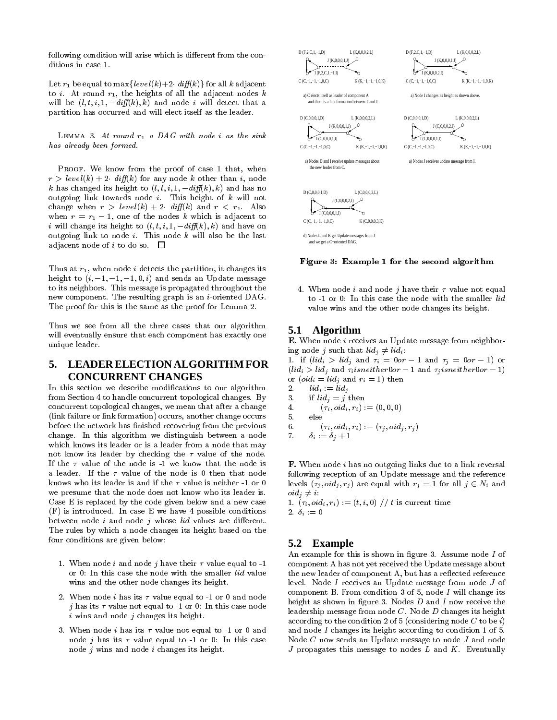following condition will arise which is different from the conditions in case 1.

Let  $r_1$  be equal to max  $\{level(k)+2 \cdot diff(k)\}\$  for all k adjacent to *i*. At round  $r_1$ , the heights of all the adjacent nodes k will be  $(l, t, i, 1, -diff(k), k)$  and node i will detect that a partition has occurred and will elect itself as the leader.

LEMMA 3. At round  $r_1$  a DAG with node i as the sink has already been formed.

PROOF. We know from the proof of case 1 that, when  $r > level(k) + 2$  diff(k) for any node k other than i, node  $k$  has changed its height to (l;  $\alpha$ ;  $\beta$  ,  $\beta$ ) and  $\beta$  and has no outgoing link towards node  $i$ . This height of  $k$  will not change when  $r > level(k) + 2$  diff(k) and  $r < r_1$ . Also when r  $\frac{1}{\sqrt{2}}$  , one of the nodes k which is adjacent to the nodes k which is adjacent to the nodes k which is adjacent to the nodes k which is adjacent to the nodes k which is adjacent to the nodes k which is adjace is the change in the change in the change is the change of  $\mathcal{U}(k)$  and  $\mathcal{U}(k)$  and  $\mathcal{U}(k)$ outgoing link to node  $i$ . This node  $k$  will also be the last adjacent node of i to do so.  $\Box$ 

Thus at  $r_1$ , when node *i* detects the partition, it changes its height to  $(i, -1, -1, -1, 0, i)$  and sends an Update message to its neighbors. This message is propagated throughout the new component. The resulting graph is an  $i$ -oriented DAG. The proof for this is the same as the proof for Lemma 2.

Thus we see from all the three cases that our algorithm  $5.1$ will eventually ensure that each component has exactly one unique leader.

# **5. LEADER ELECTION ALGORITHM FOR CONCURRENT CHANGES**

In this section we describe modifications to our algorithm 2. from Section 4 to handle concurrent topological changes. By concurrent topological changes, we mean that after a change (link failure or link formation) occurs, another change occurs before the network has finished recovering from the previous change. In this algorithm we distinguish between a node which knows its leader or is a leader from a node that may not know its leader by checking the  $\tau$  value of the node. If the  $\tau$  value of the node is -1 we know that the node is a leader. If the  $\tau$  value of the node is 0 then that node knows who its leader is and if the  $\tau$  value is neither -1 or 0 we presume that the node does not know who its leader is. Case E is replaced by the code given below and a new case  $(F)$  is introduced. In case E we have 4 possible conditions between node  $i$  and node  $j$  whose  $lid$  values are different. The rules by which a node changes its height based on the four conditions are given below:

- 1. When node i and node j have their  $\tau$  value equal to -1 or 0: In this case the node with the smaller lid value wins and the other node changes its height.
- 2. When node *i* has its  $\tau$  value equal to -1 or 0 and node *j* has its  $\tau$  value not equal to -1 or 0: In this case node  $i$  wins and node  $j$  changes its height.
- 3. When node *i* has its  $\tau$  value not equal to -1 or 0 and node j has its  $\tau$  value equal to -1 or 0: In this case node  $j$  wins and node  $i$  changes its height.



Figure 3: Example 1 for the second algorithm

4. When node i and node j have their  $\tau$  value not equal to -1 or 0: In this case the node with the smaller lid value wins and the other node changes its height.

### **5.1 Algorithm**

E. When node i receives an Update message from neighboring node j such that  $lid_j \neq lid_i$ :

 $\mathbf{1}$  is (line of lidi) and is obtained in and  $\mathbf{1}$  , or  $\mathbf{1}$  and  $\mathbf{1}$ (iii)  $\sim$  liding and is necessarily corresponding to  $\sim$  1) or  $(\text{oid}_i = \text{lid}_j \text{ and } r_i = 1)$  then

- $lid_i := lid_j$
- if  $lid_i = j$  then
- $({\tau}_i, \text{oid}_i, r_i) := (0,0,0)$
- 

6. 
$$
(\tau_i, \text{oid}_i, r_i) := (\tau_j, \text{oid}_j, r_j)
$$

$$
7. \qquad \delta_i := \delta_j + 1
$$

F. When node i has no outgoing links due to a link reversal following reception of an Update message and the reference levels (j) j) are equal with right right right right right right right right right right right right right right right right right right right right right right right right right right right right right right right right  $oid_i \neq i$ :

1.  $(\tau_i, \text{oid}_i, r_i) := (t, i, 0) / t$  is current time 2.  $\delta_i := 0$ 

### **5.2 Example**

An example for this is shown in figure 3. Assume node  $I$  of component A has not yet received the Update message about the new leader of component A, but has a reflected reference level. Node I receives an Update message from node J of component B. From condition  $3$  of  $5$ , node I will change its height as shown in figure 3. Nodes  $D$  and  $I$  now receive the leadership message from node C. Node D changes its height according to the condition 2 of 5 (considering node  $C$  to be i) and node I changes its height according to condition 1 of 5. Node C now sends an Update message to node J and node  $J$  propagates this message to nodes  $L$  and  $K$ . Eventually